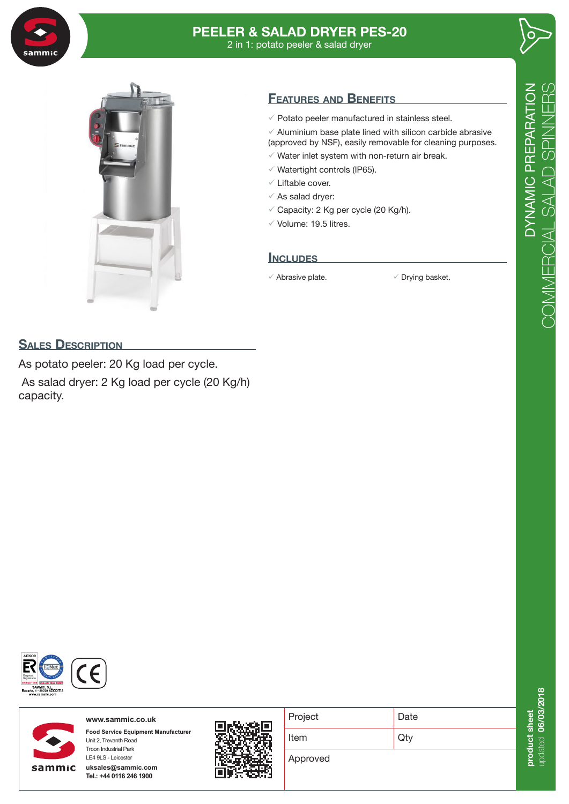

# **PEELER & SALAD DRYER PES-20** 2 in 1: potato peeler & salad dryer





# **Features and Benefits**

- $\checkmark$  Potato peeler manufactured in stainless steel.
- $\checkmark$  Aluminium base plate lined with silicon carbide abrasive (approved by NSF), easily removable for cleaning purposes.
- $\checkmark$  Water inlet system with non-return air break.
- $\checkmark$  Watertight controls (IP65).
- $\checkmark$  Liftable cover.
- $\checkmark$  As salad dryer:
- $\checkmark$  Capacity: 2 Kg per cycle (20 Kg/h).
- $\checkmark$  Volume: 19.5 litres.

## **Includes**

 $\checkmark$  Abrasive plate.  $\checkmark$  Drying basket.

## **SALES DESCRIPTION**

As potato peeler: 20 Kg load per cycle. As salad dryer: 2 Kg load per cycle (20 Kg/h) capacity.





**www.sammic.co.uk Food Service Equipment Manufacturer** Unit 2, Trevanth Road Troon Industrial Park

**uksales@sammic.com Tel.: +44 0116 246 1900**

LE4 9LS - Leicester



| Project  | Date |
|----------|------|
| Item     | Qty  |
| Approved |      |

 $\bigcirc$ 

update **0 0000000** product sheet **duct she** updated **0 000 000 018**